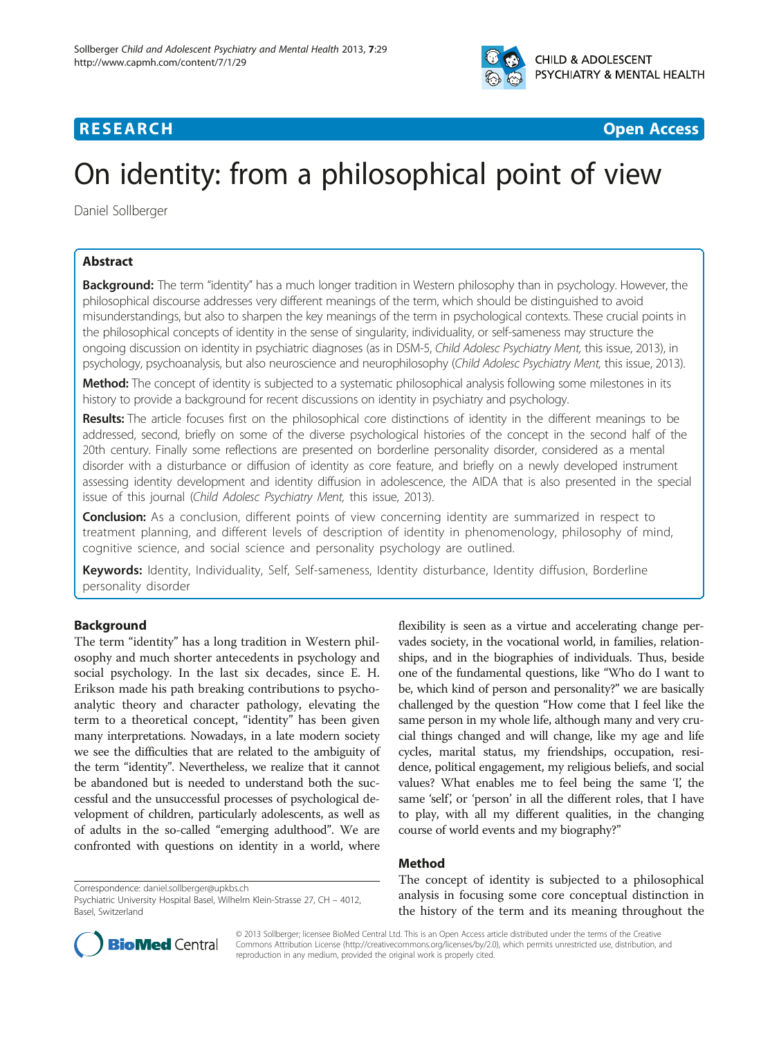

## **RESEARCH CHEAR CHEAR CHEAR CHEAR CHEAR CHEAR CHEAR CHEAR CHEAR CHEAR CHEAR CHEAR CHEAR CHEAR CHEAR CHEAR CHEAR**

# On identity: from a philosophical point of view

Daniel Sollberger

### Abstract

Background: The term "identity" has a much longer tradition in Western philosophy than in psychology. However, the philosophical discourse addresses very different meanings of the term, which should be distinguished to avoid misunderstandings, but also to sharpen the key meanings of the term in psychological contexts. These crucial points in the philosophical concepts of identity in the sense of singularity, individuality, or self-sameness may structure the ongoing discussion on identity in psychiatric diagnoses (as in DSM-5, Child Adolesc Psychiatry Ment, this issue, 2013), in psychology, psychoanalysis, but also neuroscience and neurophilosophy (Child Adolesc Psychiatry Ment, this issue, 2013).

Method: The concept of identity is subjected to a systematic philosophical analysis following some milestones in its history to provide a background for recent discussions on identity in psychiatry and psychology.

Results: The article focuses first on the philosophical core distinctions of identity in the different meanings to be addressed, second, briefly on some of the diverse psychological histories of the concept in the second half of the 20th century. Finally some reflections are presented on borderline personality disorder, considered as a mental disorder with a disturbance or diffusion of identity as core feature, and briefly on a newly developed instrument assessing identity development and identity diffusion in adolescence, the AIDA that is also presented in the special issue of this journal (Child Adolesc Psychiatry Ment, this issue, 2013).

Conclusion: As a conclusion, different points of view concerning identity are summarized in respect to treatment planning, and different levels of description of identity in phenomenology, philosophy of mind, cognitive science, and social science and personality psychology are outlined.

Keywords: Identity, Individuality, Self, Self-sameness, Identity disturbance, Identity diffusion, Borderline personality disorder

#### Background

The term "identity" has a long tradition in Western philosophy and much shorter antecedents in psychology and social psychology. In the last six decades, since E. H. Erikson made his path breaking contributions to psychoanalytic theory and character pathology, elevating the term to a theoretical concept, "identity" has been given many interpretations. Nowadays, in a late modern society we see the difficulties that are related to the ambiguity of the term "identity". Nevertheless, we realize that it cannot be abandoned but is needed to understand both the successful and the unsuccessful processes of psychological development of children, particularly adolescents, as well as of adults in the so-called "emerging adulthood". We are confronted with questions on identity in a world, where

ships, and in the biographies of individuals. Thus, beside one of the fundamental questions, like "Who do I want to be, which kind of person and personality?" we are basically challenged by the question "How come that I feel like the same person in my whole life, although many and very crucial things changed and will change, like my age and life cycles, marital status, my friendships, occupation, residence, political engagement, my religious beliefs, and social values? What enables me to feel being the same 'I', the same 'self', or 'person' in all the different roles, that I have to play, with all my different qualities, in the changing course of world events and my biography?"

flexibility is seen as a virtue and accelerating change pervades society, in the vocational world, in families, relation-

#### Method

Psychiatric University Hospital Basel, Wilhelm Klein-Strasse 27, CH – 4012, Basel, Switzerland





© 2013 Sollberger; licensee BioMed Central Ltd. This is an Open Access article distributed under the terms of the Creative Commons Attribution License [\(http://creativecommons.org/licenses/by/2.0\)](http://creativecommons.org/licenses/by/2.0), which permits unrestricted use, distribution, and reproduction in any medium, provided the original work is properly cited.

Correspondence: [daniel.sollberger@upkbs.ch](mailto:daniel.sollberger@upkbs.ch)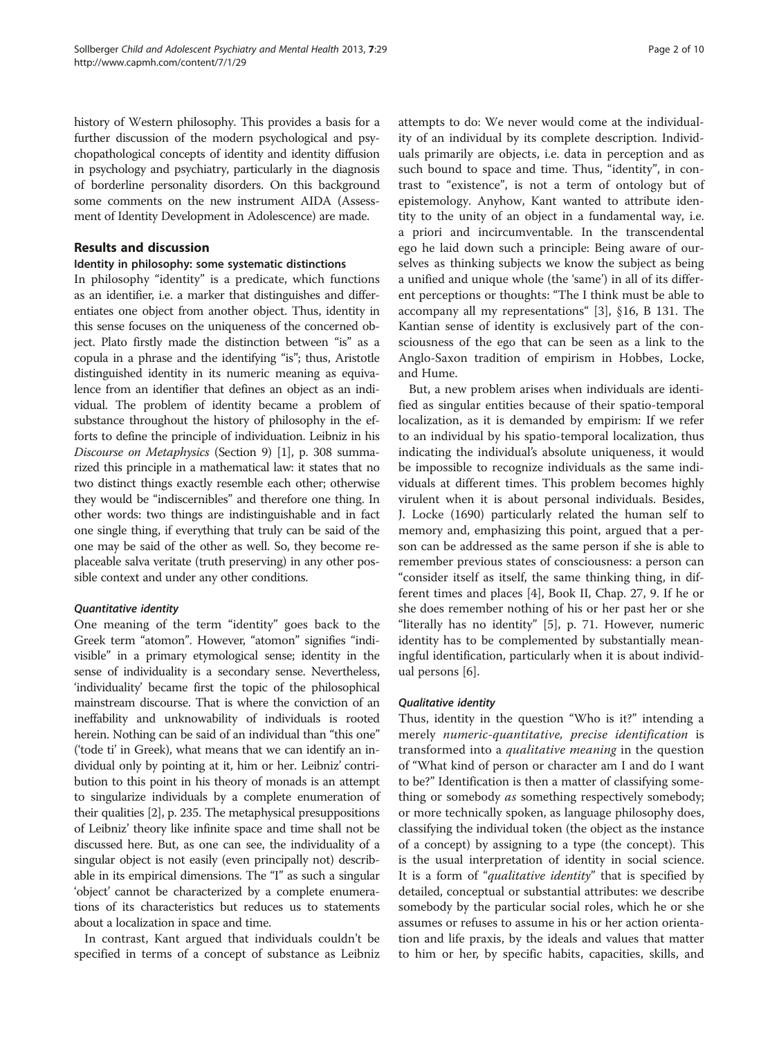history of Western philosophy. This provides a basis for a further discussion of the modern psychological and psychopathological concepts of identity and identity diffusion in psychology and psychiatry, particularly in the diagnosis of borderline personality disorders. On this background some comments on the new instrument AIDA (Assessment of Identity Development in Adolescence) are made.

#### Results and discussion

#### Identity in philosophy: some systematic distinctions

In philosophy "identity" is a predicate, which functions as an identifier, i.e. a marker that distinguishes and differentiates one object from another object. Thus, identity in this sense focuses on the uniqueness of the concerned object. Plato firstly made the distinction between "is" as a copula in a phrase and the identifying "is"; thus, Aristotle distinguished identity in its numeric meaning as equivalence from an identifier that defines an object as an individual. The problem of identity became a problem of substance throughout the history of philosophy in the efforts to define the principle of individuation. Leibniz in his Discourse on Metaphysics (Section 9) [[1\]](#page-8-0), p. 308 summarized this principle in a mathematical law: it states that no two distinct things exactly resemble each other; otherwise they would be "indiscernibles" and therefore one thing. In other words: two things are indistinguishable and in fact one single thing, if everything that truly can be said of the one may be said of the other as well. So, they become replaceable salva veritate (truth preserving) in any other possible context and under any other conditions.

#### Quantitative identity

One meaning of the term "identity" goes back to the Greek term "atomon". However, "atomon" signifies "indivisible" in a primary etymological sense; identity in the sense of individuality is a secondary sense. Nevertheless, 'individuality' became first the topic of the philosophical mainstream discourse. That is where the conviction of an ineffability and unknowability of individuals is rooted herein. Nothing can be said of an individual than "this one" ('tode ti' in Greek), what means that we can identify an individual only by pointing at it, him or her. Leibniz' contribution to this point in his theory of monads is an attempt to singularize individuals by a complete enumeration of their qualities [[2\]](#page-8-0), p. 235. The metaphysical presuppositions of Leibniz' theory like infinite space and time shall not be discussed here. But, as one can see, the individuality of a singular object is not easily (even principally not) describable in its empirical dimensions. The "I" as such a singular 'object' cannot be characterized by a complete enumerations of its characteristics but reduces us to statements about a localization in space and time.

In contrast, Kant argued that individuals couldn't be specified in terms of a concept of substance as Leibniz

attempts to do: We never would come at the individuality of an individual by its complete description. Individuals primarily are objects, i.e. data in perception and as such bound to space and time. Thus, "identity", in contrast to "existence", is not a term of ontology but of epistemology. Anyhow, Kant wanted to attribute identity to the unity of an object in a fundamental way, i.e. a priori and incircumventable. In the transcendental ego he laid down such a principle: Being aware of ourselves as thinking subjects we know the subject as being a unified and unique whole (the 'same') in all of its different perceptions or thoughts: "The I think must be able to accompany all my representations" [\[3](#page-8-0)], §16, B 131. The Kantian sense of identity is exclusively part of the consciousness of the ego that can be seen as a link to the Anglo-Saxon tradition of empirism in Hobbes, Locke, and Hume.

But, a new problem arises when individuals are identified as singular entities because of their spatio-temporal localization, as it is demanded by empirism: If we refer to an individual by his spatio-temporal localization, thus indicating the individual's absolute uniqueness, it would be impossible to recognize individuals as the same individuals at different times. This problem becomes highly virulent when it is about personal individuals. Besides, J. Locke (1690) particularly related the human self to memory and, emphasizing this point, argued that a person can be addressed as the same person if she is able to remember previous states of consciousness: a person can "consider itself as itself, the same thinking thing, in different times and places [\[4\]](#page-8-0), Book II, Chap. 27, 9. If he or she does remember nothing of his or her past her or she "literally has no identity" [[5\]](#page-8-0), p. 71. However, numeric identity has to be complemented by substantially meaningful identification, particularly when it is about individual persons [[6\]](#page-8-0).

#### Qualitative identity

Thus, identity in the question "Who is it?" intending a merely numeric-quantitative, precise identification is transformed into a *qualitative meaning* in the question of "What kind of person or character am I and do I want to be?" Identification is then a matter of classifying something or somebody *as* something respectively somebody; or more technically spoken, as language philosophy does, classifying the individual token (the object as the instance of a concept) by assigning to a type (the concept). This is the usual interpretation of identity in social science. It is a form of "qualitative identity" that is specified by detailed, conceptual or substantial attributes: we describe somebody by the particular social roles, which he or she assumes or refuses to assume in his or her action orientation and life praxis, by the ideals and values that matter to him or her, by specific habits, capacities, skills, and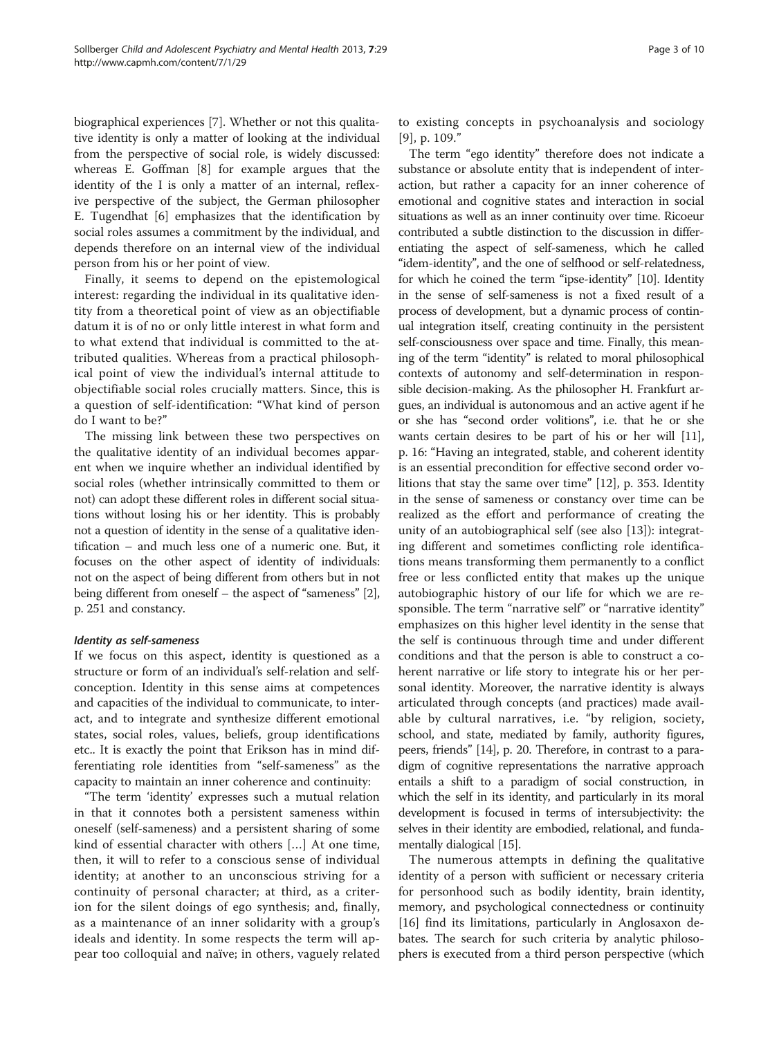biographical experiences [\[7](#page-8-0)]. Whether or not this qualitative identity is only a matter of looking at the individual from the perspective of social role, is widely discussed: whereas E. Goffman [\[8](#page-8-0)] for example argues that the identity of the I is only a matter of an internal, reflexive perspective of the subject, the German philosopher E. Tugendhat [\[6\]](#page-8-0) emphasizes that the identification by social roles assumes a commitment by the individual, and depends therefore on an internal view of the individual person from his or her point of view.

Finally, it seems to depend on the epistemological interest: regarding the individual in its qualitative identity from a theoretical point of view as an objectifiable datum it is of no or only little interest in what form and to what extend that individual is committed to the attributed qualities. Whereas from a practical philosophical point of view the individual's internal attitude to objectifiable social roles crucially matters. Since, this is a question of self-identification: "What kind of person do I want to be?"

The missing link between these two perspectives on the qualitative identity of an individual becomes apparent when we inquire whether an individual identified by social roles (whether intrinsically committed to them or not) can adopt these different roles in different social situations without losing his or her identity. This is probably not a question of identity in the sense of a qualitative identification – and much less one of a numeric one. But, it focuses on the other aspect of identity of individuals: not on the aspect of being different from others but in not being different from oneself – the aspect of "sameness" [[2](#page-8-0)], p. 251 and constancy.

#### Identity as self-sameness

If we focus on this aspect, identity is questioned as a structure or form of an individual's self-relation and selfconception. Identity in this sense aims at competences and capacities of the individual to communicate, to interact, and to integrate and synthesize different emotional states, social roles, values, beliefs, group identifications etc.. It is exactly the point that Erikson has in mind differentiating role identities from "self-sameness" as the capacity to maintain an inner coherence and continuity:

"The term 'identity' expresses such a mutual relation in that it connotes both a persistent sameness within oneself (self-sameness) and a persistent sharing of some kind of essential character with others […] At one time, then, it will to refer to a conscious sense of individual identity; at another to an unconscious striving for a continuity of personal character; at third, as a criterion for the silent doings of ego synthesis; and, finally, as a maintenance of an inner solidarity with a group's ideals and identity. In some respects the term will appear too colloquial and naïve; in others, vaguely related to existing concepts in psychoanalysis and sociology [[9](#page-8-0)], p. 109."

The term "ego identity" therefore does not indicate a substance or absolute entity that is independent of interaction, but rather a capacity for an inner coherence of emotional and cognitive states and interaction in social situations as well as an inner continuity over time. Ricoeur contributed a subtle distinction to the discussion in differentiating the aspect of self-sameness, which he called "idem-identity", and the one of selfhood or self-relatedness, for which he coined the term "ipse-identity" [\[10](#page-8-0)]. Identity in the sense of self-sameness is not a fixed result of a process of development, but a dynamic process of continual integration itself, creating continuity in the persistent self-consciousness over space and time. Finally, this meaning of the term "identity" is related to moral philosophical contexts of autonomy and self-determination in responsible decision-making. As the philosopher H. Frankfurt argues, an individual is autonomous and an active agent if he or she has "second order volitions", i.e. that he or she wants certain desires to be part of his or her will [\[11](#page-8-0)], p. 16: "Having an integrated, stable, and coherent identity is an essential precondition for effective second order volitions that stay the same over time" [[12\]](#page-8-0), p. 353. Identity in the sense of sameness or constancy over time can be realized as the effort and performance of creating the unity of an autobiographical self (see also [\[13](#page-8-0)]): integrating different and sometimes conflicting role identifications means transforming them permanently to a conflict free or less conflicted entity that makes up the unique autobiographic history of our life for which we are responsible. The term "narrative self" or "narrative identity" emphasizes on this higher level identity in the sense that the self is continuous through time and under different conditions and that the person is able to construct a coherent narrative or life story to integrate his or her personal identity. Moreover, the narrative identity is always articulated through concepts (and practices) made available by cultural narratives, i.e. "by religion, society, school, and state, mediated by family, authority figures, peers, friends" [\[14\]](#page-8-0), p. 20. Therefore, in contrast to a paradigm of cognitive representations the narrative approach entails a shift to a paradigm of social construction, in which the self in its identity, and particularly in its moral development is focused in terms of intersubjectivity: the selves in their identity are embodied, relational, and fundamentally dialogical [\[15](#page-8-0)].

The numerous attempts in defining the qualitative identity of a person with sufficient or necessary criteria for personhood such as bodily identity, brain identity, memory, and psychological connectedness or continuity [[16\]](#page-8-0) find its limitations, particularly in Anglosaxon debates. The search for such criteria by analytic philosophers is executed from a third person perspective (which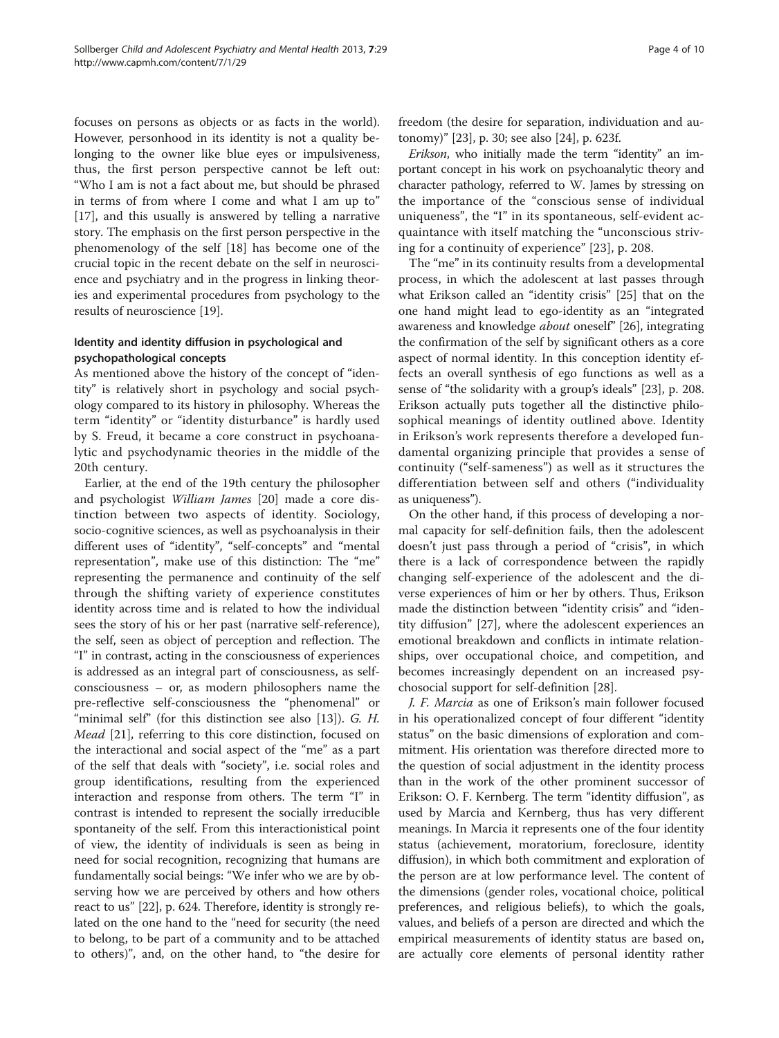focuses on persons as objects or as facts in the world). However, personhood in its identity is not a quality belonging to the owner like blue eyes or impulsiveness, thus, the first person perspective cannot be left out: "Who I am is not a fact about me, but should be phrased in terms of from where I come and what I am up to" [[17\]](#page-8-0), and this usually is answered by telling a narrative story. The emphasis on the first person perspective in the phenomenology of the self [[18\]](#page-8-0) has become one of the crucial topic in the recent debate on the self in neuroscience and psychiatry and in the progress in linking theories and experimental procedures from psychology to the results of neuroscience [[19](#page-8-0)].

#### Identity and identity diffusion in psychological and psychopathological concepts

As mentioned above the history of the concept of "identity" is relatively short in psychology and social psychology compared to its history in philosophy. Whereas the term "identity" or "identity disturbance" is hardly used by S. Freud, it became a core construct in psychoanalytic and psychodynamic theories in the middle of the 20th century.

Earlier, at the end of the 19th century the philosopher and psychologist William James [\[20\]](#page-8-0) made a core distinction between two aspects of identity. Sociology, socio-cognitive sciences, as well as psychoanalysis in their different uses of "identity", "self-concepts" and "mental representation", make use of this distinction: The "me" representing the permanence and continuity of the self through the shifting variety of experience constitutes identity across time and is related to how the individual sees the story of his or her past (narrative self-reference), the self, seen as object of perception and reflection. The "I" in contrast, acting in the consciousness of experiences is addressed as an integral part of consciousness, as selfconsciousness – or, as modern philosophers name the pre-reflective self-consciousness the "phenomenal" or "minimal self" (for this distinction see also [\[13](#page-8-0)]). G. H. Mead [\[21\]](#page-8-0), referring to this core distinction, focused on the interactional and social aspect of the "me" as a part of the self that deals with "society", i.e. social roles and group identifications, resulting from the experienced interaction and response from others. The term "I" in contrast is intended to represent the socially irreducible spontaneity of the self. From this interactionistical point of view, the identity of individuals is seen as being in need for social recognition, recognizing that humans are fundamentally social beings: "We infer who we are by observing how we are perceived by others and how others react to us" [[22\]](#page-8-0), p. 624. Therefore, identity is strongly related on the one hand to the "need for security (the need to belong, to be part of a community and to be attached to others)", and, on the other hand, to "the desire for

freedom (the desire for separation, individuation and autonomy)" [[23](#page-8-0)], p. 30; see also [[24](#page-8-0)], p. 623f.

Erikson, who initially made the term "identity" an important concept in his work on psychoanalytic theory and character pathology, referred to W. James by stressing on the importance of the "conscious sense of individual uniqueness", the "I" in its spontaneous, self-evident acquaintance with itself matching the "unconscious striving for a continuity of experience" [[23](#page-8-0)], p. 208.

The "me" in its continuity results from a developmental process, in which the adolescent at last passes through what Erikson called an "identity crisis" [\[25](#page-8-0)] that on the one hand might lead to ego-identity as an "integrated awareness and knowledge about oneself" [[26](#page-8-0)], integrating the confirmation of the self by significant others as a core aspect of normal identity. In this conception identity effects an overall synthesis of ego functions as well as a sense of "the solidarity with a group's ideals" [\[23](#page-8-0)], p. 208. Erikson actually puts together all the distinctive philosophical meanings of identity outlined above. Identity in Erikson's work represents therefore a developed fundamental organizing principle that provides a sense of continuity ("self-sameness") as well as it structures the differentiation between self and others ("individuality as uniqueness").

On the other hand, if this process of developing a normal capacity for self-definition fails, then the adolescent doesn't just pass through a period of "crisis", in which there is a lack of correspondence between the rapidly changing self-experience of the adolescent and the diverse experiences of him or her by others. Thus, Erikson made the distinction between "identity crisis" and "identity diffusion" [[27\]](#page-8-0), where the adolescent experiences an emotional breakdown and conflicts in intimate relationships, over occupational choice, and competition, and becomes increasingly dependent on an increased psychosocial support for self-definition [[28\]](#page-8-0).

J. F. Marcia as one of Erikson's main follower focused in his operationalized concept of four different "identity status" on the basic dimensions of exploration and commitment. His orientation was therefore directed more to the question of social adjustment in the identity process than in the work of the other prominent successor of Erikson: O. F. Kernberg. The term "identity diffusion", as used by Marcia and Kernberg, thus has very different meanings. In Marcia it represents one of the four identity status (achievement, moratorium, foreclosure, identity diffusion), in which both commitment and exploration of the person are at low performance level. The content of the dimensions (gender roles, vocational choice, political preferences, and religious beliefs), to which the goals, values, and beliefs of a person are directed and which the empirical measurements of identity status are based on, are actually core elements of personal identity rather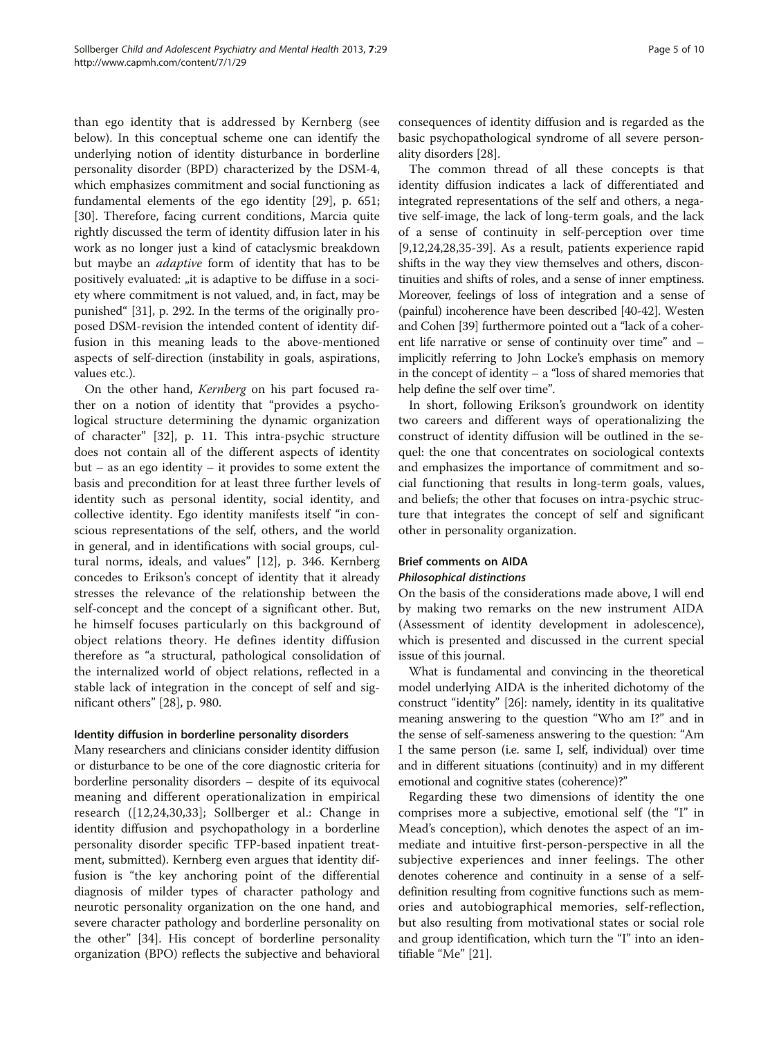than ego identity that is addressed by Kernberg (see below). In this conceptual scheme one can identify the underlying notion of identity disturbance in borderline personality disorder (BPD) characterized by the DSM-4, which emphasizes commitment and social functioning as fundamental elements of the ego identity [[29\]](#page-8-0), p. 651; [[30\]](#page-8-0). Therefore, facing current conditions, Marcia quite rightly discussed the term of identity diffusion later in his work as no longer just a kind of cataclysmic breakdown but maybe an adaptive form of identity that has to be positively evaluated: "it is adaptive to be diffuse in a society where commitment is not valued, and, in fact, may be punished" [[31](#page-8-0)], p. 292. In the terms of the originally proposed DSM-revision the intended content of identity diffusion in this meaning leads to the above-mentioned aspects of self-direction (instability in goals, aspirations, values etc.).

On the other hand, Kernberg on his part focused rather on a notion of identity that "provides a psychological structure determining the dynamic organization of character" [\[32](#page-8-0)], p. 11. This intra-psychic structure does not contain all of the different aspects of identity but – as an ego identity – it provides to some extent the basis and precondition for at least three further levels of identity such as personal identity, social identity, and collective identity. Ego identity manifests itself "in conscious representations of the self, others, and the world in general, and in identifications with social groups, cultural norms, ideals, and values" [\[12](#page-8-0)], p. 346. Kernberg concedes to Erikson's concept of identity that it already stresses the relevance of the relationship between the self-concept and the concept of a significant other. But, he himself focuses particularly on this background of object relations theory. He defines identity diffusion therefore as "a structural, pathological consolidation of the internalized world of object relations, reflected in a stable lack of integration in the concept of self and significant others" [[28\]](#page-8-0), p. 980.

#### Identity diffusion in borderline personality disorders

Many researchers and clinicians consider identity diffusion or disturbance to be one of the core diagnostic criteria for borderline personality disorders – despite of its equivocal meaning and different operationalization in empirical research ([[12,24,30,33](#page-8-0)]; Sollberger et al.: Change in identity diffusion and psychopathology in a borderline personality disorder specific TFP-based inpatient treatment, submitted). Kernberg even argues that identity diffusion is "the key anchoring point of the differential diagnosis of milder types of character pathology and neurotic personality organization on the one hand, and severe character pathology and borderline personality on the other" [\[34](#page-8-0)]. His concept of borderline personality organization (BPO) reflects the subjective and behavioral consequences of identity diffusion and is regarded as the basic psychopathological syndrome of all severe personality disorders [[28](#page-8-0)].

The common thread of all these concepts is that identity diffusion indicates a lack of differentiated and integrated representations of the self and others, a negative self-image, the lack of long-term goals, and the lack of a sense of continuity in self-perception over time [[9,12,24,28,35-39](#page-8-0)]. As a result, patients experience rapid shifts in the way they view themselves and others, discontinuities and shifts of roles, and a sense of inner emptiness. Moreover, feelings of loss of integration and a sense of (painful) incoherence have been described [[40](#page-8-0)-[42](#page-8-0)]. Westen and Cohen [[39](#page-8-0)] furthermore pointed out a "lack of a coherent life narrative or sense of continuity over time" and – implicitly referring to John Locke's emphasis on memory in the concept of identity – a "loss of shared memories that help define the self over time".

In short, following Erikson's groundwork on identity two careers and different ways of operationalizing the construct of identity diffusion will be outlined in the sequel: the one that concentrates on sociological contexts and emphasizes the importance of commitment and social functioning that results in long-term goals, values, and beliefs; the other that focuses on intra-psychic structure that integrates the concept of self and significant other in personality organization.

#### Brief comments on AIDA Philosophical distinctions

On the basis of the considerations made above, I will end by making two remarks on the new instrument AIDA (Assessment of identity development in adolescence), which is presented and discussed in the current special issue of this journal.

What is fundamental and convincing in the theoretical model underlying AIDA is the inherited dichotomy of the construct "identity" [[26](#page-8-0)]: namely, identity in its qualitative meaning answering to the question "Who am I?" and in the sense of self-sameness answering to the question: "Am I the same person (i.e. same I, self, individual) over time and in different situations (continuity) and in my different emotional and cognitive states (coherence)?"

Regarding these two dimensions of identity the one comprises more a subjective, emotional self (the "I" in Mead's conception), which denotes the aspect of an immediate and intuitive first-person-perspective in all the subjective experiences and inner feelings. The other denotes coherence and continuity in a sense of a selfdefinition resulting from cognitive functions such as memories and autobiographical memories, self-reflection, but also resulting from motivational states or social role and group identification, which turn the "I" into an identifiable "Me" [\[21](#page-8-0)].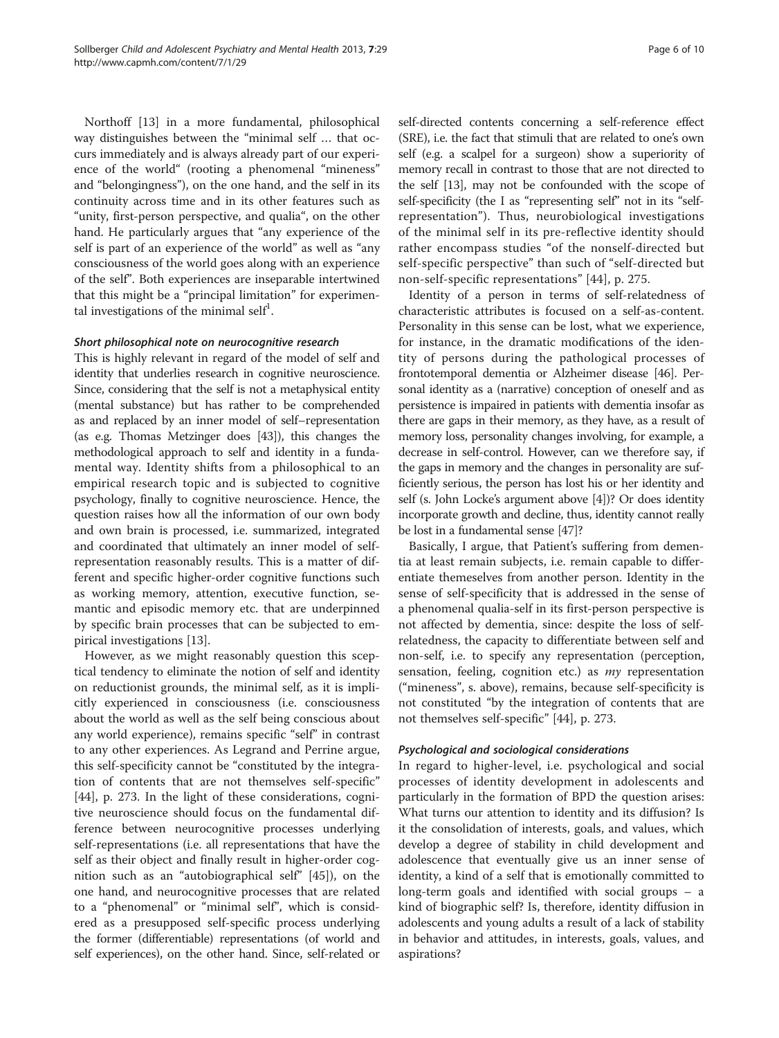Northoff [[13\]](#page-8-0) in a more fundamental, philosophical way distinguishes between the "minimal self … that occurs immediately and is always already part of our experience of the world" (rooting a phenomenal "mineness" and "belongingness"), on the one hand, and the self in its continuity across time and in its other features such as "unity, first-person perspective, and qualia", on the other hand. He particularly argues that "any experience of the self is part of an experience of the world" as well as "any consciousness of the world goes along with an experience of the self". Both experiences are inseparable intertwined that this might be a "principal limitation" for experimental investigations of the minimal self<sup>1</sup>.

#### Short philosophical note on neurocognitive research

This is highly relevant in regard of the model of self and identity that underlies research in cognitive neuroscience. Since, considering that the self is not a metaphysical entity (mental substance) but has rather to be comprehended as and replaced by an inner model of self–representation (as e.g. Thomas Metzinger does [[43](#page-8-0)]), this changes the methodological approach to self and identity in a fundamental way. Identity shifts from a philosophical to an empirical research topic and is subjected to cognitive psychology, finally to cognitive neuroscience. Hence, the question raises how all the information of our own body and own brain is processed, i.e. summarized, integrated and coordinated that ultimately an inner model of selfrepresentation reasonably results. This is a matter of different and specific higher-order cognitive functions such as working memory, attention, executive function, semantic and episodic memory etc. that are underpinned by specific brain processes that can be subjected to empirical investigations [[13\]](#page-8-0).

However, as we might reasonably question this sceptical tendency to eliminate the notion of self and identity on reductionist grounds, the minimal self, as it is implicitly experienced in consciousness (i.e. consciousness about the world as well as the self being conscious about any world experience), remains specific "self" in contrast to any other experiences. As Legrand and Perrine argue, this self-specificity cannot be "constituted by the integration of contents that are not themselves self-specific" [[44\]](#page-8-0), p. 273. In the light of these considerations, cognitive neuroscience should focus on the fundamental difference between neurocognitive processes underlying self-representations (i.e. all representations that have the self as their object and finally result in higher-order cognition such as an "autobiographical self" [\[45\]](#page-8-0)), on the one hand, and neurocognitive processes that are related to a "phenomenal" or "minimal self", which is considered as a presupposed self-specific process underlying the former (differentiable) representations (of world and self experiences), on the other hand. Since, self-related or

self-directed contents concerning a self-reference effect (SRE), i.e. the fact that stimuli that are related to one's own self (e.g. a scalpel for a surgeon) show a superiority of memory recall in contrast to those that are not directed to the self [\[13\]](#page-8-0), may not be confounded with the scope of self-specificity (the I as "representing self" not in its "selfrepresentation"). Thus, neurobiological investigations of the minimal self in its pre-reflective identity should rather encompass studies "of the nonself-directed but self-specific perspective" than such of "self-directed but non-self-specific representations" [\[44\]](#page-8-0), p. 275.

Identity of a person in terms of self-relatedness of characteristic attributes is focused on a self-as-content. Personality in this sense can be lost, what we experience, for instance, in the dramatic modifications of the identity of persons during the pathological processes of frontotemporal dementia or Alzheimer disease [\[46\]](#page-8-0). Personal identity as a (narrative) conception of oneself and as persistence is impaired in patients with dementia insofar as there are gaps in their memory, as they have, as a result of memory loss, personality changes involving, for example, a decrease in self-control. However, can we therefore say, if the gaps in memory and the changes in personality are sufficiently serious, the person has lost his or her identity and self (s. John Locke's argument above [\[4\]](#page-8-0))? Or does identity incorporate growth and decline, thus, identity cannot really be lost in a fundamental sense [[47](#page-8-0)]?

Basically, I argue, that Patient's suffering from dementia at least remain subjects, i.e. remain capable to differentiate themeselves from another person. Identity in the sense of self-specificity that is addressed in the sense of a phenomenal qualia-self in its first-person perspective is not affected by dementia, since: despite the loss of selfrelatedness, the capacity to differentiate between self and non-self, i.e. to specify any representation (perception, sensation, feeling, cognition etc.) as *my* representation ("mineness", s. above), remains, because self-specificity is not constituted "by the integration of contents that are not themselves self-specific" [[44\]](#page-8-0), p. 273.

#### Psychological and sociological considerations

In regard to higher-level, i.e. psychological and social processes of identity development in adolescents and particularly in the formation of BPD the question arises: What turns our attention to identity and its diffusion? Is it the consolidation of interests, goals, and values, which develop a degree of stability in child development and adolescence that eventually give us an inner sense of identity, a kind of a self that is emotionally committed to long-term goals and identified with social groups – a kind of biographic self? Is, therefore, identity diffusion in adolescents and young adults a result of a lack of stability in behavior and attitudes, in interests, goals, values, and aspirations?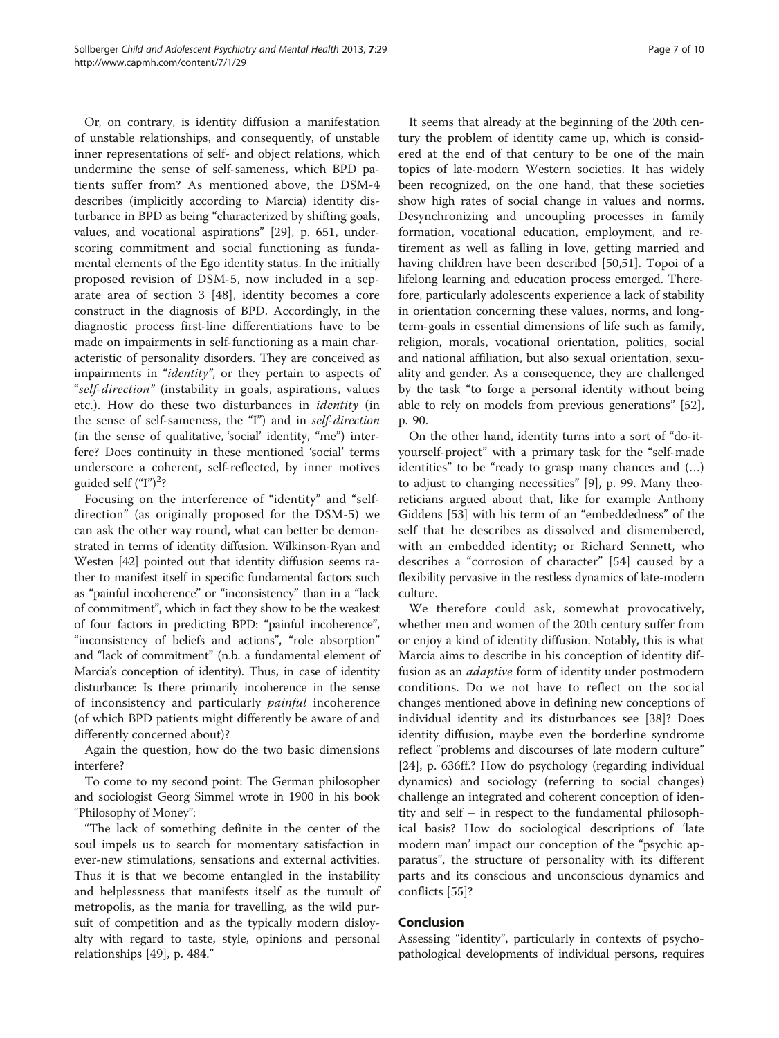Or, on contrary, is identity diffusion a manifestation of unstable relationships, and consequently, of unstable inner representations of self- and object relations, which undermine the sense of self-sameness, which BPD patients suffer from? As mentioned above, the DSM-4 describes (implicitly according to Marcia) identity disturbance in BPD as being "characterized by shifting goals, values, and vocational aspirations" [[29\]](#page-8-0), p. 651, underscoring commitment and social functioning as fundamental elements of the Ego identity status. In the initially proposed revision of DSM-5, now included in a separate area of section 3 [[48\]](#page-9-0), identity becomes a core construct in the diagnosis of BPD. Accordingly, in the diagnostic process first-line differentiations have to be made on impairments in self-functioning as a main characteristic of personality disorders. They are conceived as impairments in "identity", or they pertain to aspects of "self-direction" (instability in goals, aspirations, values etc.). How do these two disturbances in identity (in the sense of self-sameness, the "I") and in self-direction (in the sense of qualitative, 'social' identity, "me") interfere? Does continuity in these mentioned 'social' terms underscore a coherent, self-reflected, by inner motives guided self ("I")<sup>2</sup>?

Focusing on the interference of "identity" and "selfdirection" (as originally proposed for the DSM-5) we can ask the other way round, what can better be demonstrated in terms of identity diffusion. Wilkinson-Ryan and Westen [[42](#page-8-0)] pointed out that identity diffusion seems rather to manifest itself in specific fundamental factors such as "painful incoherence" or "inconsistency" than in a "lack of commitment", which in fact they show to be the weakest of four factors in predicting BPD: "painful incoherence", "inconsistency of beliefs and actions", "role absorption" and "lack of commitment" (n.b. a fundamental element of Marcia's conception of identity). Thus, in case of identity disturbance: Is there primarily incoherence in the sense of inconsistency and particularly *painful* incoherence (of which BPD patients might differently be aware of and differently concerned about)?

Again the question, how do the two basic dimensions interfere?

To come to my second point: The German philosopher and sociologist Georg Simmel wrote in 1900 in his book "Philosophy of Money":

"The lack of something definite in the center of the soul impels us to search for momentary satisfaction in ever-new stimulations, sensations and external activities. Thus it is that we become entangled in the instability and helplessness that manifests itself as the tumult of metropolis, as the mania for travelling, as the wild pursuit of competition and as the typically modern disloyalty with regard to taste, style, opinions and personal relationships [[49\]](#page-9-0), p. 484."

It seems that already at the beginning of the 20th century the problem of identity came up, which is considered at the end of that century to be one of the main topics of late-modern Western societies. It has widely been recognized, on the one hand, that these societies show high rates of social change in values and norms. Desynchronizing and uncoupling processes in family formation, vocational education, employment, and retirement as well as falling in love, getting married and having children have been described [\[50,51](#page-9-0)]. Topoi of a lifelong learning and education process emerged. Therefore, particularly adolescents experience a lack of stability in orientation concerning these values, norms, and longterm-goals in essential dimensions of life such as family, religion, morals, vocational orientation, politics, social and national affiliation, but also sexual orientation, sexuality and gender. As a consequence, they are challenged by the task "to forge a personal identity without being able to rely on models from previous generations" [\[52](#page-9-0)], p. 90.

On the other hand, identity turns into a sort of "do-ityourself-project" with a primary task for the "self-made identities" to be "ready to grasp many chances and (…) to adjust to changing necessities" [[9\]](#page-8-0), p. 99. Many theoreticians argued about that, like for example Anthony Giddens [\[53\]](#page-9-0) with his term of an "embeddedness" of the self that he describes as dissolved and dismembered, with an embedded identity; or Richard Sennett, who describes a "corrosion of character" [[54](#page-9-0)] caused by a flexibility pervasive in the restless dynamics of late-modern culture.

We therefore could ask, somewhat provocatively, whether men and women of the 20th century suffer from or enjoy a kind of identity diffusion. Notably, this is what Marcia aims to describe in his conception of identity diffusion as an *adaptive* form of identity under postmodern conditions. Do we not have to reflect on the social changes mentioned above in defining new conceptions of individual identity and its disturbances see [[38](#page-8-0)]? Does identity diffusion, maybe even the borderline syndrome reflect "problems and discourses of late modern culture" [[24\]](#page-8-0), p. 636ff.? How do psychology (regarding individual dynamics) and sociology (referring to social changes) challenge an integrated and coherent conception of identity and self – in respect to the fundamental philosophical basis? How do sociological descriptions of 'late modern man' impact our conception of the "psychic apparatus", the structure of personality with its different parts and its conscious and unconscious dynamics and conflicts [[55\]](#page-9-0)?

#### Conclusion

Assessing "identity", particularly in contexts of psychopathological developments of individual persons, requires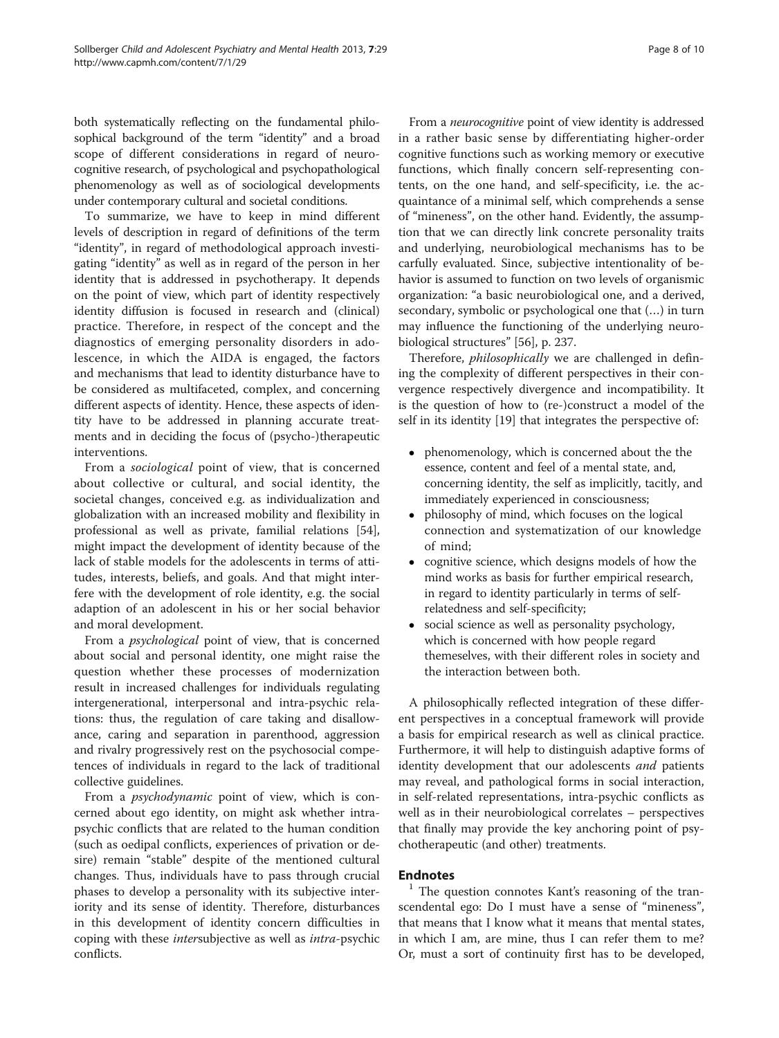both systematically reflecting on the fundamental philosophical background of the term "identity" and a broad scope of different considerations in regard of neurocognitive research, of psychological and psychopathological phenomenology as well as of sociological developments under contemporary cultural and societal conditions.

To summarize, we have to keep in mind different levels of description in regard of definitions of the term "identity", in regard of methodological approach investigating "identity" as well as in regard of the person in her identity that is addressed in psychotherapy. It depends on the point of view, which part of identity respectively identity diffusion is focused in research and (clinical) practice. Therefore, in respect of the concept and the diagnostics of emerging personality disorders in adolescence, in which the AIDA is engaged, the factors and mechanisms that lead to identity disturbance have to be considered as multifaceted, complex, and concerning different aspects of identity. Hence, these aspects of identity have to be addressed in planning accurate treatments and in deciding the focus of (psycho-)therapeutic interventions.

From a sociological point of view, that is concerned about collective or cultural, and social identity, the societal changes, conceived e.g. as individualization and globalization with an increased mobility and flexibility in professional as well as private, familial relations [\[54](#page-9-0)], might impact the development of identity because of the lack of stable models for the adolescents in terms of attitudes, interests, beliefs, and goals. And that might interfere with the development of role identity, e.g. the social adaption of an adolescent in his or her social behavior and moral development.

From a psychological point of view, that is concerned about social and personal identity, one might raise the question whether these processes of modernization result in increased challenges for individuals regulating intergenerational, interpersonal and intra-psychic relations: thus, the regulation of care taking and disallowance, caring and separation in parenthood, aggression and rivalry progressively rest on the psychosocial competences of individuals in regard to the lack of traditional collective guidelines.

From a *psychodynamic* point of view, which is concerned about ego identity, on might ask whether intrapsychic conflicts that are related to the human condition (such as oedipal conflicts, experiences of privation or desire) remain "stable" despite of the mentioned cultural changes. Thus, individuals have to pass through crucial phases to develop a personality with its subjective interiority and its sense of identity. Therefore, disturbances in this development of identity concern difficulties in coping with these intersubjective as well as intra-psychic conflicts.

From a neurocognitive point of view identity is addressed in a rather basic sense by differentiating higher-order cognitive functions such as working memory or executive functions, which finally concern self-representing contents, on the one hand, and self-specificity, i.e. the acquaintance of a minimal self, which comprehends a sense of "mineness", on the other hand. Evidently, the assumption that we can directly link concrete personality traits and underlying, neurobiological mechanisms has to be carfully evaluated. Since, subjective intentionality of behavior is assumed to function on two levels of organismic organization: "a basic neurobiological one, and a derived, secondary, symbolic or psychological one that (…) in turn may influence the functioning of the underlying neurobiological structures" [\[56](#page-9-0)], p. 237.

Therefore, *philosophically* we are challenged in defining the complexity of different perspectives in their convergence respectively divergence and incompatibility. It is the question of how to (re-)construct a model of the self in its identity [[19\]](#page-8-0) that integrates the perspective of:

- phenomenology, which is concerned about the the essence, content and feel of a mental state, and, concerning identity, the self as implicitly, tacitly, and immediately experienced in consciousness;
- philosophy of mind, which focuses on the logical connection and systematization of our knowledge of mind;
- cognitive science, which designs models of how the mind works as basis for further empirical research, in regard to identity particularly in terms of selfrelatedness and self-specificity;
- social science as well as personality psychology, which is concerned with how people regard themeselves, with their different roles in society and the interaction between both.

A philosophically reflected integration of these different perspectives in a conceptual framework will provide a basis for empirical research as well as clinical practice. Furthermore, it will help to distinguish adaptive forms of identity development that our adolescents *and* patients may reveal, and pathological forms in social interaction, in self-related representations, intra-psychic conflicts as well as in their neurobiological correlates – perspectives that finally may provide the key anchoring point of psychotherapeutic (and other) treatments.

**Endnotes**<br> $\frac{1}{1}$  The question connotes Kant's reasoning of the transcendental ego: Do I must have a sense of "mineness", that means that I know what it means that mental states, in which I am, are mine, thus I can refer them to me? Or, must a sort of continuity first has to be developed,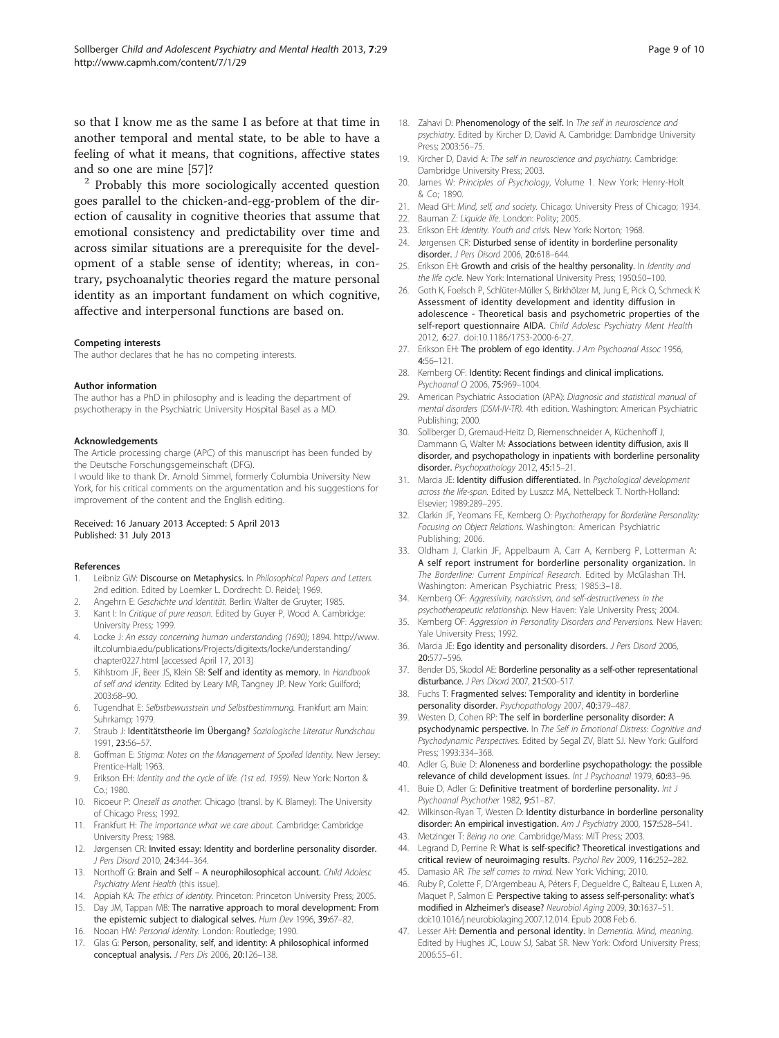<span id="page-8-0"></span>so that I know me as the same I as before at that time in another temporal and mental state, to be able to have a feeling of what it means, that cognitions, affective states and so one are mine [\[57](#page-9-0)]?<br><sup>2</sup> Probably this more sociologically accented question

goes parallel to the chicken-and-egg-problem of the direction of causality in cognitive theories that assume that emotional consistency and predictability over time and across similar situations are a prerequisite for the development of a stable sense of identity; whereas, in contrary, psychoanalytic theories regard the mature personal identity as an important fundament on which cognitive, affective and interpersonal functions are based on.

#### Competing interests

The author declares that he has no competing interests.

#### Author information

The author has a PhD in philosophy and is leading the department of psychotherapy in the Psychiatric University Hospital Basel as a MD.

#### Acknowledgements

The Article processing charge (APC) of this manuscript has been funded by the Deutsche Forschungsgemeinschaft (DFG).

I would like to thank Dr. Arnold Simmel, formerly Columbia University New York, for his critical comments on the argumentation and his suggestions for improvement of the content and the English editing.

#### Received: 16 January 2013 Accepted: 5 April 2013 Published: 31 July 2013

#### References

- 1. Leibniz GW: Discourse on Metaphysics. In Philosophical Papers and Letters. 2nd edition. Edited by Loemker L. Dordrecht: D. Reidel; 1969.
- 2. Angehrn E: Geschichte und Identität. Berlin: Walter de Gruyter; 1985.
- 3. Kant I: In Critique of pure reason. Edited by Guyer P, Wood A. Cambridge: University Press; 1999.
- 4. Locke J: An essay concerning human understanding (1690); 1894. [http://www.](http://www.ilt.columbia.edu/publications/Projects/digitexts/locke/understanding/chapter0227.html) [ilt.columbia.edu/publications/Projects/digitexts/locke/understanding/](http://www.ilt.columbia.edu/publications/Projects/digitexts/locke/understanding/chapter0227.html) [chapter0227.html](http://www.ilt.columbia.edu/publications/Projects/digitexts/locke/understanding/chapter0227.html) [accessed April 17, 2013]
- 5. Kihlstrom JF, Beer JS, Klein SB: Self and identity as memory. In Handbook of self and identity. Edited by Leary MR, Tangney JP. New York: Guilford; 2003:68–90.
- 6. Tugendhat E: Selbstbewusstsein und Selbstbestimmung. Frankfurt am Main: Suhrkamp; 1979.
- 7. Straub J: Identitätstheorie im Übergang? Soziologische Literatur Rundschau 1991, 23:56–57.
- 8. Goffman E: Stigma: Notes on the Management of Spoiled Identity. New Jersey: Prentice-Hall; 1963.
- 9. Erikson EH: Identity and the cycle of life. (1st ed. 1959). New York: Norton & Co.; 1980.
- 10. Ricoeur P: Oneself as another. Chicago (transl. by K. Blamey): The University of Chicago Press; 1992.
- 11. Frankfurt H: The importance what we care about. Cambridge: Cambridge University Press; 1988.
- 12. Jørgensen CR: Invited essay: Identity and borderline personality disorder. J Pers Disord 2010, 24:344–364.
- 13. Northoff G: Brain and Self A neurophilosophical account. Child Adolesc Psychiatry Ment Health (this issue).
- 14. Appiah KA: The ethics of identity. Princeton: Princeton University Press; 2005.
- 15. Day JM, Tappan MB: The narrative approach to moral development: From the epistemic subject to dialogical selves. Hum Dev 1996, 39:67–82.
- 16. Nooan HW: Personal identity. London: Routledge; 1990.
- 17. Glas G: Person, personality, self, and identity: A philosophical informed conceptual analysis. J Pers Dis 2006, 20:126–138.
- 18. Zahavi D: Phenomenology of the self. In The self in neuroscience and psychiatry. Edited by Kircher D, David A. Cambridge: Dambridge University Press; 2003:56–75.
- 19. Kircher D, David A: The self in neuroscience and psychiatry. Cambridge: Dambridge University Press; 2003.
- 20. James W: Principles of Psychology, Volume 1. New York: Henry-Holt & Co; 1890.
- 21. Mead GH: Mind, self, and society. Chicago: University Press of Chicago; 1934.
- 22. Bauman Z: Liquide life. London: Polity; 2005.
- 23. Erikson EH: Identity. Youth and crisis. New York: Norton; 1968.
- 24. Jørgensen CR: Disturbed sense of identity in borderline personality disorder. J Pers Disord 2006, 20:618–644.
- 25. Erikson EH: Growth and crisis of the healthy personality. In Identity and the life cycle. New York: International University Press; 1950:50–100.
- 26. Goth K, Foelsch P, Schlüter-Müller S, Birkhölzer M, Jung E, Pick O, Schmeck K: Assessment of identity development and identity diffusion in adolescence - Theoretical basis and psychometric properties of the self-report questionnaire AIDA. Child Adolesc Psychiatry Ment Health 2012, 6:27. doi:[10.1186/1753-2000-6-27.](http://dx.doi.org/10.1186/1753-2000-6-27)
- 27. Erikson EH: The problem of ego identity. J Am Psychoanal Assoc 1956, 4:56–121.
- 28. Kernberg OF: Identity: Recent findings and clinical implications. Psychoanal Q 2006, 75:969–1004.
- 29. American Psychiatric Association (APA): Diagnosic and statistical manual of mental disorders (DSM-IV-TR). 4th edition. Washington: American Psychiatric Publishing; 2000.
- 30. Sollberger D, Gremaud-Heitz D, Riemenschneider A, Küchenhoff J, Dammann G, Walter M: Associations between identity diffusion, axis II disorder, and psychopathology in inpatients with borderline personality disorder. Psychopathology 2012, 45:15-21.
- 31. Marcia JE: Identity diffusion differentiated. In Psychological development across the life-span. Edited by Luszcz MA, Nettelbeck T. North-Holland: Elsevier; 1989:289–295.
- 32. Clarkin JF, Yeomans FE, Kernberg O: Psychotherapy for Borderline Personality: Focusing on Object Relations. Washington: American Psychiatric Publishing; 2006.
- 33. Oldham J, Clarkin JF, Appelbaum A, Carr A, Kernberg P, Lotterman A: A self report instrument for borderline personality organization. In The Borderline: Current Empirical Research. Edited by McGlashan TH. Washington: American Psychiatric Press; 1985:3–18.
- 34. Kernberg OF: Aggressivity, narcissism, and self-destructiveness in the psychotherapeutic relationship. New Haven: Yale University Press; 2004.
- 35. Kernberg OF: Aggression in Personality Disorders and Perversions. New Haven: Yale University Press; 1992.
- 36. Marcia JE: Ego identity and personality disorders. J Pers Disord 2006, 20:577–596.
- 37. Bender DS, Skodol AE: Borderline personality as a self-other representational disturbance. J Pers Disord 2007, 21:500–517.
- 38. Fuchs T: Fragmented selves: Temporality and identity in borderline personality disorder. Psychopathology 2007, 40:379–487.
- 39. Westen D, Cohen RP: The self in borderline personality disorder: A psychodynamic perspective. In The Self in Emotional Distress: Cognitive and Psychodynamic Perspectives. Edited by Segal ZV, Blatt SJ. New York: Guilford Press; 1993:334–368.
- 40. Adler G, Buie D: Aloneness and borderline psychopathology: the possible relevance of child development issues. Int J Psychoanal 1979, 60:83–96.
- 41. Buie D, Adler G: Definitive treatment of borderline personality. Int J Psychoanal Psychother 1982, 9:51–87.
- 42. Wilkinson-Ryan T, Westen D: Identity disturbance in borderline personality disorder: An empirical investigation. Am J Psychiatry 2000, 157:528-541.
- 43. Metzinger T: Being no one. Cambridge/Mass: MIT Press; 2003.
- 44. Legrand D, Perrine R: What is self-specific? Theoretical investigations and critical review of neuroimaging results. Psychol Rev 2009, 116:252–282.
- 45. Damasio AR: The self comes to mind. New York: Viching; 2010.
- 46. Ruby P, Colette F, D'Argembeau A, Péters F, Degueldre C, Balteau E, Luxen A, Maquet P, Salmon E: Perspective taking to assess self-personality: what's modified in Alzheimer's disease? Neurobiol Aging 2009, 30:1637–51. doi[:10.1016/j.neurobiolaging.2007.12.014](http://dx.doi.org/10.1016/j.neurobiolaging.2007.12.014). Epub 2008 Feb 6.
- 47. Lesser AH: Dementia and personal identity. In Dementia. Mind, meaning. Edited by Hughes JC, Louw SJ, Sabat SR. New York: Oxford University Press; 2006:55–61.